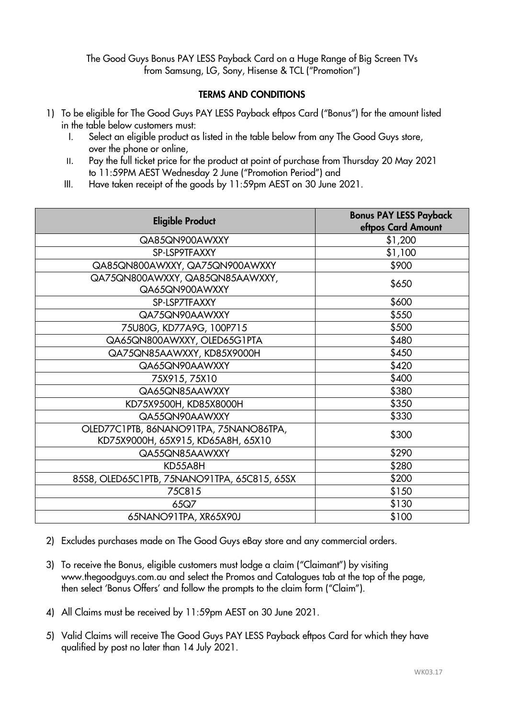The Good Guys Bonus PAY LESS Payback Card on a Huge Range of Big Screen TVs from Samsung, LG, Sony, Hisense & TCL ("Promotion")

## TERMS AND CONDITIONS

- 1) To be eligible for The Good Guys PAY LESS Payback eftpos Card ("Bonus") for the amount listed in the table below customers must:
	- I. Select an eligible product as listed in the table below from any The Good Guys store, over the phone or online,
	- II. Pay the full ticket price for the product at point of purchase from Thursday 20 May 2021 to 11:59PM AEST Wednesday 2 June ("Promotion Period") and
	- III. Have taken receipt of the goods by 11:59pm AEST on 30 June 2021.

| <b>Eligible Product</b>                                                      | <b>Bonus PAY LESS Payback</b><br>eftpos Card Amount |
|------------------------------------------------------------------------------|-----------------------------------------------------|
| QA85QN900AWXXY                                                               | \$1,200                                             |
| SP-LSP9TFAXXY                                                                | \$1,100                                             |
| QA85QN800AWXXY, QA75QN900AWXXY                                               | \$900                                               |
| QA75QN800AWXXY, QA85QN85AAWXXY,<br>QA65QN900AWXXY                            | \$650                                               |
| SP-LSP7TFAXXY                                                                | \$600                                               |
| QA75QN90AAWXXY                                                               | \$550                                               |
| 75U80G, KD77A9G, 100P715                                                     | \$500                                               |
| QA65QN800AWXXY, OLED65G1PTA                                                  | \$480                                               |
| QA75QN85AAWXXY, KD85X9000H                                                   | \$450                                               |
| QA65QN90AAWXXY                                                               | \$420                                               |
| 75X915, 75X10                                                                | \$400                                               |
| QA65QN85AAWXXY                                                               | \$380                                               |
| KD75X9500H, KD85X8000H                                                       | \$350                                               |
| QA55QN90AAWXXY                                                               | \$330                                               |
| OLED77C1PTB, 86NANO91TPA, 75NANO86TPA,<br>KD75X9000H, 65X915, KD65A8H, 65X10 | \$300                                               |
| QA55QN85AAWXXY                                                               | \$290                                               |
| KD55A8H                                                                      | \$280                                               |
| 85S8, OLED65C1PTB, 75NANO91TPA, 65C815, 65SX                                 | \$200                                               |
| 75C815                                                                       | \$150                                               |
| 65Q7                                                                         | \$130                                               |
| 65NANO91TPA, XR65X90J                                                        | \$100                                               |

- 2) Excludes purchases made on The Good Guys eBay store and any commercial orders.
- 3) To receive the Bonus, eligible customers must lodge a claim ("Claimant") by visiting [www.thegoodguys.com.au](http://www.thegoodguys.com.au/) and select the Promos and Catalogues tab at the top of the page, then select 'Bonus Offers' and follow the prompts to the claim form ("Claim").
- 4) All Claims must be received by 11:59pm AEST on 30 June 2021.
- 5) Valid Claims will receive The Good Guys PAY LESS Payback eftpos Card for which they have qualified by post no later than 14 July 2021.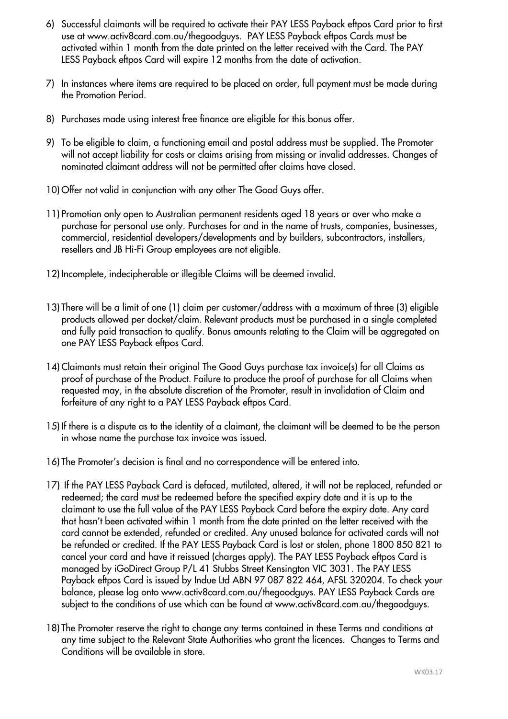- 6) Successful claimants will be required to activate their PAY LESS Payback eftpos Card prior to first use at www.activ8card.com.au/thegoodguys. PAY LESS Payback eftpos Cards must be activated within 1 month from the date printed on the letter received with the Card. The PAY LESS Payback eftpos Card will expire 12 months from the date of activation.
- 7) In instances where items are required to be placed on order, full payment must be made during the Promotion Period.
- 8) Purchases made using interest free finance are eligible for this bonus offer.
- 9) To be eligible to claim, a functioning email and postal address must be supplied. The Promoter will not accept liability for costs or claims arising from missing or invalid addresses. Changes of nominated claimant address will not be permitted after claims have closed.
- 10) Offer not valid in conjunction with any other The Good Guys offer.
- 11) Promotion only open to Australian permanent residents aged 18 years or over who make a purchase for personal use only. Purchases for and in the name of trusts, companies, businesses, commercial, residential developers/developments and by builders, subcontractors, installers, resellers and JB Hi-Fi Group employees are not eligible.
- 12) Incomplete, indecipherable or illegible Claims will be deemed invalid.
- 13) There will be a limit of one (1) claim per customer/address with a maximum of three (3) eligible products allowed per docket/claim. Relevant products must be purchased in a single completed and fully paid transaction to qualify. Bonus amounts relating to the Claim will be aggregated on one PAY LESS Payback eftpos Card.
- 14) Claimants must retain their original The Good Guys purchase tax invoice(s) for all Claims as proof of purchase of the Product. Failure to produce the proof of purchase for all Claims when requested may, in the absolute discretion of the Promoter, result in invalidation of Claim and forfeiture of any right to a PAY LESS Payback eftpos Card.
- 15) If there is a dispute as to the identity of a claimant, the claimant will be deemed to be the person in whose name the purchase tax invoice was issued.
- 16) The Promoter's decision is final and no correspondence will be entered into.
- 17) If the PAY LESS Payback Card is defaced, mutilated, altered, it will not be replaced, refunded or redeemed; the card must be redeemed before the specified expiry date and it is up to the claimant to use the full value of the PAY LESS Payback Card before the expiry date. Any card that hasn't been activated within 1 month from the date printed on the letter received with the card cannot be extended, refunded or credited. Any unused balance for activated cards will not be refunded or credited. If the PAY LESS Payback Card is lost or stolen, phone 1800 850 821 to cancel your card and have it reissued (charges apply). The PAY LESS Payback eftpos Card is managed by iGoDirect Group P/L 41 Stubbs Street Kensington VIC 3031. The PAY LESS Payback eftpos Card is issued by Indue Ltd ABN 97 087 822 464, AFSL 320204. To check your balance, please log onto www.activ8card.com.au/thegoodguys. PAY LESS Payback Cards are subject to the conditions of use which can be found at [www.activ8card.com.au/thegoodguys.](http://www.activ8card.com.au/thegoodguys)
- 18) The Promoter reserve the right to change any terms contained in these Terms and conditions at any time subject to the Relevant State Authorities who grant the licences. Changes to Terms and Conditions will be available in store.